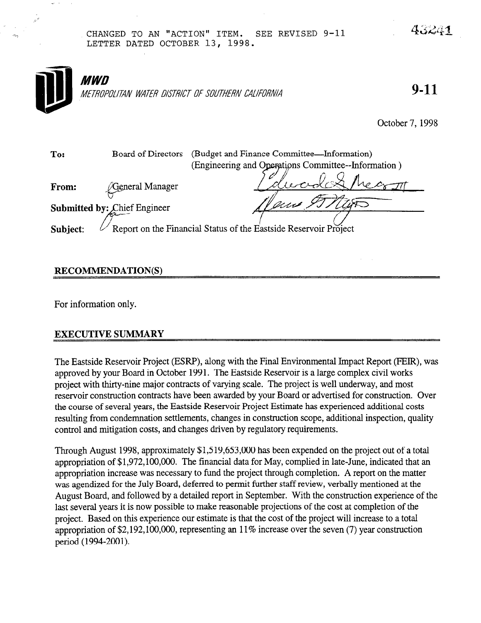### CHANGED TO AN "ACTION" ITEM. SEE REVISED 9-11 LETTER DATED OCTOBER 13, 1998.



## RECOMMENDATION(S)

For information only.

## EXECUTIVE SUMMARY

The Eastside Reservoir Project (ESRP), along with the Final Environmental Impact Report (FEIR), was approved by your Board in October 1991. The Eastside Reservoir is a large complex civil works project with thirty-nine major contracts of varying scale. The project is well underway, and most reservoir construction contracts have been awarded by your Board or advertised for construction. Over the course of several years, the Eastside Reservoir Project Estimate has experienced additional costs resulting from condemnation settlements, changes in construction scope, additional inspection, quality control and mitigation costs, and changes driven by regulatory requirements.

Through August 1998, approximately \$1,519,653,000 has been expended on the project out of a total appropriation of \$1,972,100,000. The financial data for May, complied in late-June, indicated that an appropriation increase was necessary to fund the project through completion. A report on the matter was agendized for the July Board, deferred to permit further staff review, verbally mentioned at the August Board, and followed by a detailed report in September. With the construction experience of the last several years it is now possible to make reasonable projections of the cost at completion of the project. Based on this experience our estimate is that the cost of the project will increase to a total appropriation of \$2,192,100,000, representing an 11% increase over the seven (7) year construction period (1994-2001).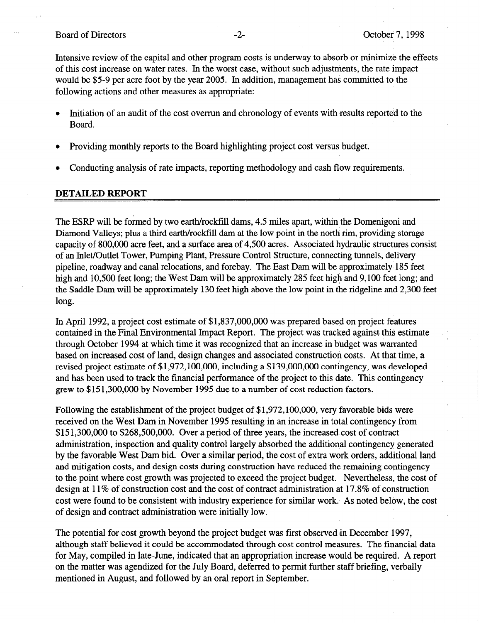#### Board of Directors **-2**- **Containers** -2- **October 7, 1998**

Intensive review of the capital and other program costs is underway to absorb or minimize the effects of this cost increase on water rates. Jn the worst case, without such adjustments, the rate impact would be \$5-9 per acre foot by the year 2005. In addition, management has committed to the following actions and other measures as appropriate:

- <sup>l</sup>Initiation of an audit of the cost overrun and chronology of events with results reported to the Board.
- <sup>l</sup>Providing monthly reports to the Board highlighting project cost versus budget.
- Conducting analysis of rate impacts, reporting methodology and cash flow requirements.

### DETAILED REPORT

The ESRP will be formed by two earth/rockfill dams, 4.5 miles apart, within the Domenigoni and Diamond Valleys; plus a third earth/rockfill dam at the low point in the north rim, providing storage capacity of 800,000 acre feet, and a surface area of 4,500 acres. Associated hydraulic structures consist of an Inlet/Outlet Tower, Pumping Plant, Pressure Control Structure, connecting tunnels, delivery pipeline, roadway and canal relocations, and forebay. The East Dam will be approximately 185 feet high and 10,500 feet long; the West Dam will be approximately 285 feet high and 9,100 feet long; and the Saddle Dam will be approximately 130 feet high above the low point in the ridgeline and 2,300 feet long.

In April 1992, a project cost estimate of \$1,837,000,000 was prepared based on project features contained in the Final Environmental Impact Report. The project was tracked against this estimate through October 1994 at which time it was recognized that an increase in budget was warranted based on increased cost of land, design changes and associated construction costs. At that time, a revised project estimate of \$1,972,100,000, including a \$139,000,000 contingency, was developed and has been used to track the financial performance of the project to this date. This contingency grew to \$15 1,300,OOO by November 1995 due to a number of cost reduction factors.

Following the establishment of the project budget of \$1,972,100,000, very favorable bids were received on the West Dam in November 1995 resulting in an increase in total contingency from \$15 1,300,OOO to \$268,500,000. Over a period of three years, the increased cost of contract administration, inspection and quality control largely absorbed the additional contingency generated by the favorable West Dam bid. Over a similar period, the cost of extra work orders, additional land and mitigation costs, and design costs during construction have reduced the remaining contingency to the point where cost growth was projected to exceed the project budget. Nevertheless, the cost of design at 11% of construction cost and the cost of contract administration at 17.8% of construction cost were found to be consistent with industry experience for similar work. As noted below, the cost of design and contract administration were initially low.

The potential for cost growth beyond the project budget was first observed in December 1997, although staff believed it could be accommodated through cost control measures. The financial data for May, compiled in late-June, indicated that an appropriation increase would be required. A report on the matter was agendized for the July Board, deferred to permit further staff briefing, verbally mentioned in August, and followed by an oral report in September.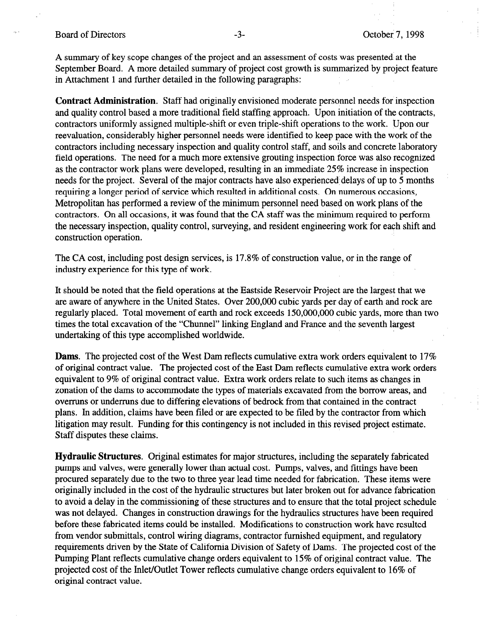#### Board of Directors **-3**- **-3-** October 7, 1998

A summary of key scope changes of the project and an assessment of costs was presented at the September Board. A more detailed summary of project cost growth is summarized by project feature in Attachment 1 and further detailed in the following paragraphs:

Contract Administration. Staff had originally envisioned moderate personnel needs for inspection and quality control based a more traditional field staffing approach. Upon initiation of the contracts, contractors uniformly assigned multiple-shift or even triple-shift operations to the work. Upon our reevaluation, considerably higher personnel needs were identified to keep pace with the work of the contractors including necessary inspection and quality control staff, and soils and concrete laboratory field operations. The need for a much more extensive grouting inspection force was also recognized as the contractor work plans were developed, resulting in an immediate 25% increase in inspection needs for the project. Several of the major contracts have also experienced delays of up to 5 months requiring a longer period of service which resulted in additional costs. On numerous occasions, Metropolitan has performed a review of the minimum personnel need based on work plans of the contractors. On all occasions, it was found that the CA staff was the minimum required to perform the necessary inspection, quality control, surveying, and resident engineering work for each shift and construction operation.

The CA cost, including post design services, is 17.8% of construction value, or in the range of industry experience for this type of work.

It should be noted that the field operations at the Eastside Reservoir Project are the largest that we are aware of anywhere in the United States. Over 200,000 cubic yards per day of earth and rock are regularly placed. Total movement of earth and rock exceeds 150,000,000 cubic yards, more than two times the total excavation of the "Chunnel" linking England and France and the seventh largest undertaking of this type accomplished worldwide.

Dams. The projected cost of the West Dam reflects cumulative extra work orders equivalent to 17% of original contract value. The projected cost of the East Dam reflects cumulative extra work orders equivalent to 9% of original contract value. Extra work orders relate to such items as changes in zonation of the dams to accommodate the types of materials excavated from the borrow areas, and overruns or underruns due to differing elevations of bedrock from that contained in the contract plans. In addition, claims have been filed or are expected to be filed by the contractor from which litigation may result. Funding for this contingency is not included in this revised project estimate. Staff disputes these claims.

Hydraulic Structures. Original estimates for major structures, including the separately fabricated pumps and valves, were generally lower than actual cost. Pumps, valves, and fittings have been procured separately due to the two to three year lead time needed for fabrication. These items were originally included in the cost of the hydraulic structures but later broken out for advance fabrication to avoid a delay in the commissioning of these structures and to ensure that the total project schedule was not delayed. Changes in construction drawings for the hydraulics structures have been required before these fabricated items could be installed. Modifications to construction work have resulted from vendor submittals, control wiring diagrams, contractor furnished equipment, and regulatory requirements driven by the State of California Division of Safety of Dams. The projected cost of the Pumping Plant reflects cumulative change orders equivalent to 15% of original contract value. The projected control to the Inlet Outlet Tower reflects cumulative control to 16% or original contract value. projected cost of the m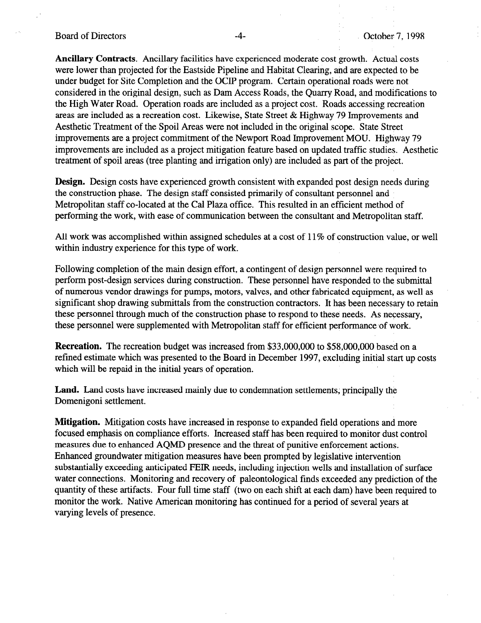#### Board of Directors **-4**- **Contract Contract Contract Contract Contract Contract Contract Contract Contract Contract Contract Contract Contract Contract Contract Contract Contract Contract Contract Contract Contract Contrac**

Ancillary Contracts. Ancillary facilities have experienced moderate cost growth. Actual costs were lower than projected for the Eastside Pipeline and Habitat Clearing, and are expected to be under budget for Site Completion and the OCIP program. Certain operational roads were not considered in the original design, such as Dam Access Roads, the Quarry Road, and modifications to the High Water Road. Operation roads are included as a project cost. Roads accessing recreation areas are included as a recreation cost. Likewise, State Street & Highway 79 Improvements and Aesthetic Treatment of the Spoil Areas were not included in the original scope. State Street improvements are a project commitment of the Newport Road Improvement MOU. Highway 79 improvements are included as a project mitigation feature based on updated traffic studies. Aesthetic treatment of spoil areas (tree planting and irrigation only) are included as part of the project.

Design. Design costs have experienced growth consistent with expanded post design needs during the construction phase. The design staff consisted primarily of consultant personnel and Metropolitan staff co-located at the Cal Plaza office. This resulted in an efficient method of performing the work, with ease of communication between the consultant and Metropolitan staff.

All work was accomplished within assigned schedules at a cost of 11% of construction value, or well within industry experience for this type of work.

Following completion of the main design effort, a contingent of design personnel were required to perform post-design services during construction. These personnel have responded to the submittal of numerous vendor drawings for pumps, motors, valves, and other fabricated equipment, as well as significant shop drawing submittals from the construction contractors. It has been necessary to retain these personnel through much of the construction phase to respond to these needs. As necessary, these personnel were supplemented with Metropolitan staff for efficient performance of work.

Recreation. The recreation budget was increased from \$33,000,000 to \$58,000,000 based on a refined estimate which was presented to the Board in December 1997, excluding initial start up costs which will be repaid in the initial years of operation.

Land. Land costs have increased mainly due to condemnation settlements, principally the Domenigoni settlement.

Mitigation. Mitigation costs have increased in response to expanded field operations and more focused emphasis on compliance efforts. Increased staff has been required to monitor dust control measures due to enhanced AQMD presence and the threat of punitive enforcement actions. Enhanced groundwater mitigation measures have been prompted by legislative intervention substantially exceeding anticipated FEIR needs, including injection wells and installation of surface water connections. Monitoring and recovery of paleontological finds exceeded any prediction of the quantity of these artifacts. Four full time staff (two on each shift at each dam) have been required to monitor the work. Native American monitoring has continued for a period of several years at varying levels of presence.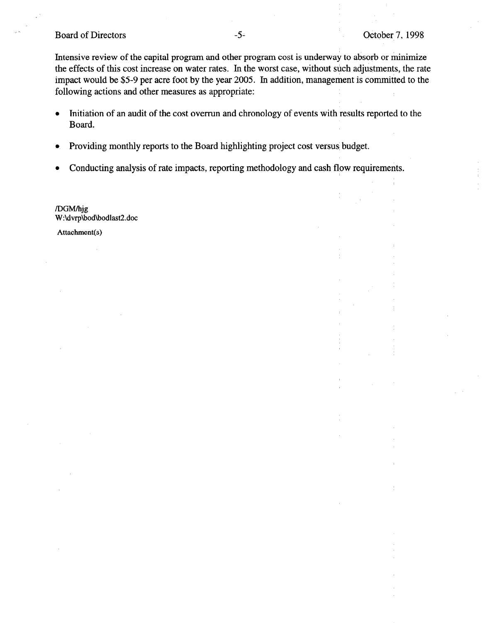#### Board of Directors

Intensive review of the capital program and other program cost is underway to absorb or minimize the effects of this cost increase on water rates. In the worst case, without such adjustments, the rate impact would be \$5-9 per acre foot by the year 2005. In addition, management is committed to the following actions and other measures as appropriate:

- Initiation of an audit of the cost overrun and chronology of events with results reported to the Board.
- $\bullet$  Providing monthly reports to the Board highlighting project cost versus budget.
- Conducting analysis of rate impacts, reporting methodology and cash flow requirements.

/DGM/hjg W:\dvrp\bod\bodlast2.doc

Attachment(s)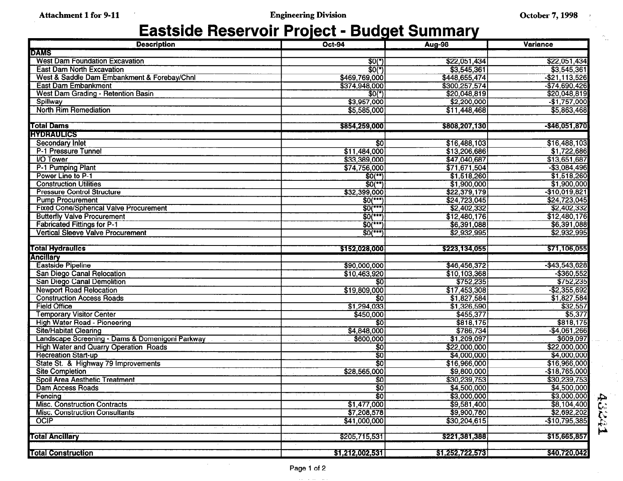# Eastside Reservoir Project - Budget Summary

| <b>Description</b>                              | <b>Oct-94</b>         | <b>Aug-98</b>   | <b>Variance</b>  |
|-------------------------------------------------|-----------------------|-----------------|------------------|
| <b>DAMS</b>                                     |                       |                 |                  |
| <b>West Dam Foundation Excavation</b>           | $$0(*)$               | \$22,051,434    | \$22,051,434     |
| <b>East Dam North Excavation</b>                | \$0(")                | \$3,545,361     | \$3,545,361      |
| West & Saddle Dam Embankment & Forebay/Chnl     | \$469,769,000         | \$448,655,474   | $-$ \$21,113,526 |
| <b>East Dam Embankment</b>                      | \$374,948,000         | \$300,257,574   | $-$74,690,426$   |
| West Dam Grading - Retention Basin              | $$0(*)$               | \$20,048,819    | \$20,048,819     |
| Spillway                                        | \$3,957,000           | \$2,200,000     | $-$1,757,000$    |
| <b>North Rim Remediation</b>                    | \$5,585,000           | \$11,448,468    | \$5,863,468      |
|                                                 |                       |                 |                  |
| <b>Total Dams</b>                               | \$854,259,000         | \$808,207,130   | $-$ \$46,051,870 |
| <b>HYDRAULICS</b>                               |                       |                 |                  |
| <b>Secondary Inlet</b>                          | \$0                   | \$16,488,103    | \$16,488,103     |
| P-1 Pressure Tunnel                             | \$11,484,000          | \$13,206,686    | \$1,722,686      |
| <b>I/O Tower</b>                                | \$33,389,000          | \$47,040,687    | \$13,651,687     |
| P-1 Pumping Plant                               | \$74,756,000          | \$71,671,504    | $-$ \$3,084,496  |
| Power Line to P-1                               | $$0^{**}$$            | \$1,518,260     | \$1,518,260      |
| <b>Construction Utilities</b>                   | $\overline{SO(*)}$    | \$1,900,000     | \$1,900,000      |
| <b>Pressure Control Structure</b>               | \$32,399,000          | \$22,379,179    | $-$10,019,821$   |
| <b>Pump Procurement</b>                         | $$0(***)$             | \$24,723,045    | \$24,723,045     |
| <b>Fixed Cone/Spherical Valve Procurement</b>   | $$0$ <sup>***</sup>   | \$2,402,332     | \$2,402,332      |
| <b>Butterfly Valve Procurement</b>              | $50$ (***)            | \$12,480,176    | \$12,480,176     |
| <b>Fabricated Fittings for P-1</b>              | $$0$ <sup>(***)</sup> | \$6,391,088     | \$6,391,088      |
| <b>Vertical Sleeve Valve Procurement</b>        | $$0^{***}$            | \$2,932,995     | \$2,932,995      |
|                                                 |                       |                 |                  |
| <b>Total Hydraulics</b>                         | \$152,028,000         | \$223,134,055   | \$71,106,055     |
| <b>Ancillary</b>                                |                       |                 |                  |
| <b>Eastside Pipeline</b>                        | \$90,000,000          | \$46,456,372    | $-$ \$43,543,628 |
| San Diego Canal Relocation                      | \$10,463,920          | \$10,103,368    | $-$ \$360,552    |
| San Diego Canal Demolition                      | \$0                   | \$752,235       | \$752,235        |
| <b>Newport Road Relocation</b>                  | \$19,809,000          | \$17,453,308    | $-$ \$2,355,692  |
| <b>Construction Access Roads</b>                | \$0                   | \$1,827,584     | \$1,827,584      |
| <b>Field Office</b>                             | \$1,294,033           | \$1,326,590     | \$32,557         |
| <b>Temporary Visitor Center</b>                 | \$450,000             | \$455,377       | \$5,377          |
| <b>High Water Road - Pioneering</b>             | $\overline{30}$       | \$818,175       | \$818,175        |
| <b>Site/Habitat Clearing</b>                    | \$4,848,000           | \$786,734       | $-$ \$4,061,266  |
| Landscape Screening - Dams & Domenigoni Parkway | \$600,000             | \$1,209,097     | \$609,097        |
| <b>High Water and Quarry Operation Roads</b>    | \$0                   | \$22,000,000    | \$22,000,000     |
| <b>Recreation Start-up</b>                      | $\overline{50}$       | \$4,000,000     | \$4,000,000      |
| State St. & Highway 79 Improvements             | $\overline{30}$       | \$16,966,000    | \$16,966,000     |
| <b>Site Completion</b>                          | \$28,565,000          | \$9,800,000     | $-$18,765,000$   |
| Spoil Area Aesthetic Treatment                  | \$0                   | \$30,239,753    | \$30,239,753     |
| <b>Dam Access Roads</b>                         | 30                    | \$4,500,000     | \$4,500,000      |
| Fencing                                         | - इठ                  | \$3,000,000     | \$3,000,000      |
| <b>Misc. Construction Contracts</b>             | \$1,477,000           | \$9,581,400     | \$8,104,400      |
| <b>Misc. Construction Consultants</b>           | \$7,208,578           | \$9,900,780     | \$2,692,202      |
| <b>OCIP</b>                                     | \$41,000,000          | \$30,204,615    | $-$10,795,385$   |
|                                                 |                       |                 |                  |
| <b>Total Ancillary</b>                          | \$205,715,531         | \$221,381,388   | \$15,665,857     |
|                                                 |                       |                 | \$40,720,042     |
| <b>Total Construction</b>                       | \$1,212,002,531       | \$1,252,722,573 |                  |